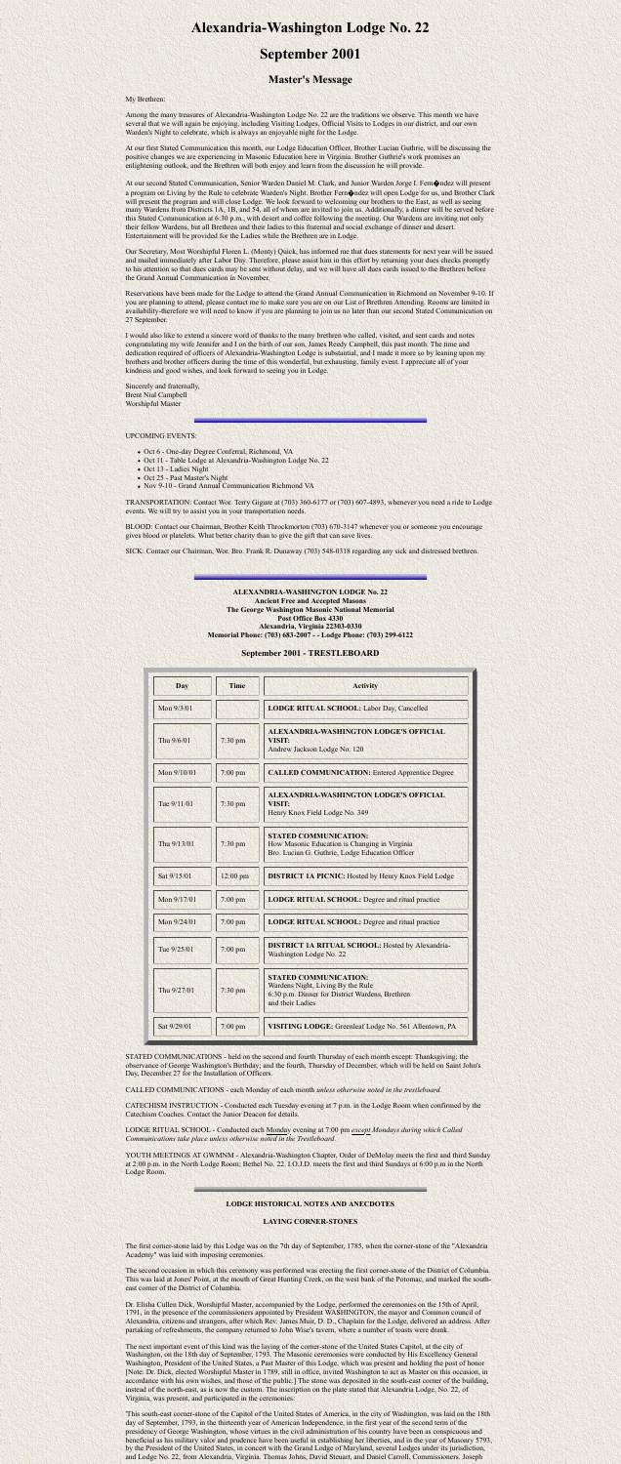# **Alexandria-Washington Lodge No. 22**

## **September 2001**

### **Master's Message**

My Brethren:

Among the many treasures of Alexandria-Washington Lodge No. 22 are the traditions we observe. This month we have several that we will again be enjoying, including Visiting Lodges, Official Visits to Lodges in our district, and our own Warden's Night to celebrate, which is always an enjoyable night for the Lodge.

At our first Stated Communication this month, our Lodge Education Officer, Brother Lucian Guthrie, will be discussing the positive changes we are experiencing in Masonic Education here in Virginia. Brother Guthrie's work promises an enlightening outlook, and the Brethren will both enjoy and learn from the discussion he will provide.

At our second Stated Communication, Senior Warden Daniel M. Clark, and Junior Warden Jorge I. Fern $\bigcirc$ ndez will present a program on Living by the Rule to celebrate Warden's Night. Brother Fern $\bigcirc$ ndez will open Lodge for us, and Brother Clark will present the program and will close Lodge. We look forward to welcoming our brothers to the East, as well as seeing many Wardens from Districts 1A, 1B, and 54, all of whom are invited to join us. Additionally, a dinner will be served before this Stated Communication at 6:30 p.m., with desert and coffee following the meeting. Our Wardens are inviting not only their fellow Wardens, but all Brethren and their ladies to this fraternal and social exchange of dinner and desert. Entertainment will be provided for the Ladies while the Brethren are in Lodge.

Our Secretary, Most Worshipful Floren L. (Monty) Quick, has informed me that dues statements for next year will be issued and mailed immediately after Labor Day. Therefore, please assist him in this effort by returning your dues checks promptly to his attention so that dues cards may be sent without delay, and we will have all dues cards issued to the Brethren before the Grand Annual Communication in November.

Reservations have been made for the Lodge to attend the Grand Annual Communication in Richmond on November 9-10. If you are planning to attend, please contact me to make sure you are on our List of Brethren Attending. Rooms are limited in availability-therefore we will need to know if you are planning to join us no later than our second Stated Communication on 27 September.

STATED COMMUNICATIONS - held on the second and fourth Thursday of each month except: Thanksgiving; the observance of George Washington's Birthday; and the fourth, Thursday of December, which will be held on Saint John's Day, December 27 for the Installation of Officers.

I would also like to extend a sincere word of thanks to the many brethren who called, visited, and sent cards and notes congratulating my wife Jennifer and I on the birth of our son, James Reedy Campbell, this past month. The time and dedication required of officers of Alexandria-Washington Lodge is substantial, and I made it more so by leaning upon my brothers and brother officers during the time of this wonderful, but exhausting, family event. I appreciate all of your kindness and good wishes, and look forward to seeing you in Lodge.

Sincerely and fraternally, Brent Nial Campbell Worshipful Master

#### UPCOMING EVENTS:

- Oct 6 One-day Degree Conferral, Richmond, VA
- Oct 11 Table Lodge at Alexandria-Washington Lodge No. 22
- Oct 13 Ladies Night
- Oct 25 Past Master's Night
- Nov 9-10 Grand Annual Communication Richmond VA

TRANSPORTATION: Contact Wor. Terry Gigure at (703) 360-6177 or (703) 607-4893, whenever you need a ride to Lodge events. We will try to assist you in your transportation needs.

BLOOD: Contact our Chairman, Brother Keith Throckmorton (703) 670-3147 whenever you or someone you encourage gives blood or platelets. What better charity than to give the gift that can save lives.

SICK: Contact our Chairman, Wor. Bro. Frank R. Dunaway (703) 548-0318 regarding any sick and distressed brethren.



#### **ALEXANDRIA-WASHINGTON LODGE No. 22 Ancient Free and Accepted Masons The George Washington Masonic National Memorial Post Office Box 4330 Alexandria, Virginia 22303-0330 Memorial Phone: (703) 683-2007 - - Lodge Phone: (703) 299-6122**

#### **September 2001 - TRESTLEBOARD**

| <b>Day</b>  | <b>Time</b> | <b>Activity</b>                                                                                                                          |
|-------------|-------------|------------------------------------------------------------------------------------------------------------------------------------------|
| Mon 9/3/01  |             | LODGE RITUAL SCHOOL: Labor Day, Cancelled                                                                                                |
| Thu 9/6/01  | 7:30 pm     | ALEXANDRIA-WASHINGTON LODGE'S OFFICIAL<br><b>VISIT:</b><br>Andrew Jackson Lodge No. 120                                                  |
| Mon 9/10/01 | 7:00 pm     | <b>CALLED COMMUNICATION: Entered Apprentice Degree</b>                                                                                   |
| Tue 9/11/01 | 7:30 pm     | <b>ALEXANDRIA-WASHINGTON LODGE'S OFFICIAL</b><br><b>VISIT:</b><br>Henry Knox Field Lodge No. 349                                         |
| Thu 9/13/01 | 7:30 pm     | <b>STATED COMMUNICATION:</b><br>How Masonic Education is Changing in Virginia<br>Bro. Lucian G. Guthrie, Lodge Education Officer         |
| Sat 9/15/01 | 12:00 pm    | <b>DISTRICT 1A PICNIC:</b> Hosted by Henry Knox Field Lodge                                                                              |
| Mon 9/17/01 | 7:00 pm     | <b>LODGE RITUAL SCHOOL:</b> Degree and ritual practice                                                                                   |
| Mon 9/24/01 | $7:00$ pm   | <b>LODGE RITUAL SCHOOL: Degree and ritual practice</b>                                                                                   |
| Tue 9/25/01 | $7:00$ pm   | <b>DISTRICT 1A RITUAL SCHOOL:</b> Hosted by Alexandria-<br>Washington Lodge No. 22                                                       |
| Thu 9/27/01 | 7:30 pm     | <b>STATED COMMUNICATION:</b><br>Wardens Night, Living By the Rule<br>6:30 p.m. Dinner for District Wardens, Brethren<br>and their Ladies |
| Sat 9/29/01 | $7:00$ pm   | VISITING LODGE: Greenleaf Lodge No. 561 Allentown, PA                                                                                    |

CALLED COMMUNICATIONS - each Monday of each month *unless otherwise noted in the trestleboard.*

CATECHISM INSTRUCTION - Conducted each Tuesday evening at 7 p.m. in the Lodge Room when confirmed by the

Catechism Coaches. Contact the Junior Deacon for details.

LODGE RITUAL SCHOOL - Conducted each Monday evening at 7:00 pm *except Mondays during which Called Communications take place unless otherwise noted in the Trestleboard.*

YOUTH MEETINGS AT GWMNM - Alexandria-Washington Chapter, Order of DeMolay meets the first and third Sunday at 2:00 p.m. in the North Lodge Room; Bethel No. 22. I.O.J.D. meets the first and third Sundays at 6:00 p.m in the North Lodge Room.

#### **LODGE HISTORICAL NOTES AND ANECDOTES**

#### **LAYING CORNER-STONES**

The first corner-stone laid by this Lodge was on the 7th day of September, 1785, when the corner-stone of the "Alexandria Academy" was laid with imposing ceremonies.

The second occasion in which this ceremony was performed was erecting the first corner-stone of the District of Columbia. This was laid at Jones' Point, at the mouth of Great Hunting Creek, on the west bank of the Potomac, and marked the southeast corner of the District of Columbia.

Dr. Elisha Cullen Dick, Worshipful Master, accompanied by the Lodge, performed the ceremonies on the 15th of April, 1791, in the presence of the commissioners appointed by President WASHINGTON, the mayor and Common council of Alexandria, citizens and strangers, after which Rev. James Muir, D. D., Chaplain for the Lodge, delivered an address. After partaking of refreshments, the company returned to John Wise's tavern, where a number of toasts were drank.

The next important event of this kind was the laying of the corner-stone of the United States Capitol, at the city of Washington, on the 18th day of September, 1793. The Masonic ceremonies were conducted by His Excellency General Washington, President of the United States, a Past Master of this Lodge, which was present and holding the post of honor [Note: Dr. Dick, elected Worshipful Master in 1789, still in office, invited Washington to act as Master on this occasion, in accordance with his own wishes, and those of the public.] The stone was deposited in the south-east corner of the building, instead of the north-east, as is now the custom. The inscription on the plate stated that Alexandria Lodge, No. 22, of Virginia, was present, and participated in the ceremonies:

'This south-east corner-stone of the Capitol of the United States of America, in the city of Washington, was laid on the 18th day of September, 1793, in the thirteenth year of American Independence, in the first year of the second term of the presidency of George Washington, whose virtues in the civil administration of his country have been as conspicuous and beneficial as his military valor and prudence have been useful in establishing her liberties, and in the year of Masonry 5793, by the President of the United States, in concert with the Grand Lodge of Maryland, several Lodges under its jurisdiction, and Lodge No. 22, from Alexandria, Virginia. Thomas Johns, David Steuart, and Daniel Carroll, Commissioners. Joseph